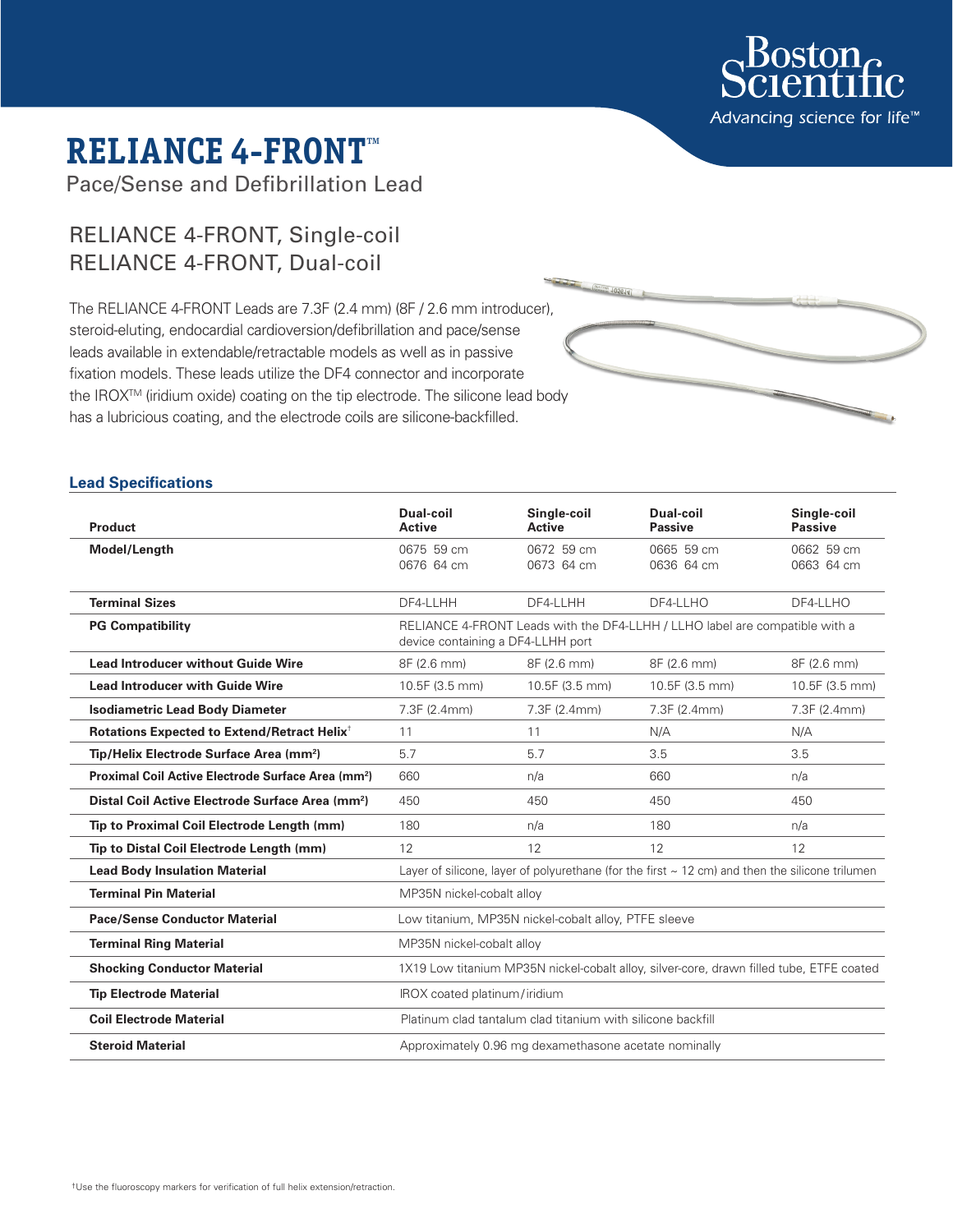

# **RELIANCE 4-FRONT™**

Pace/Sense and Defibrillation Lead

# RELIANCE 4-FRONT, Single-coil RELIANCE 4-FRONT, Dual-coil

The RELIANCE 4-FRONT Leads are 7.3F (2.4 mm) (8F / 2.6 mm introducer), steroid-eluting, endocardial cardioversion/defibrillation and pace/sense leads available in extendable/retractable models as well as in passive fixation models. These leads utilize the DF4 connector and incorporate the IROX<sup>™</sup> (iridium oxide) coating on the tip electrode. The silicone lead body has a lubricious coating, and the electrode coils are silicone-backfilled.

# **Lead Specifications**

| <b>Product</b>                                                 | Dual-coil<br><b>Active</b>                                                                                       | Single-coil<br><b>Active</b> | Dual-coil<br><b>Passive</b> | Single-coil<br><b>Passive</b> |
|----------------------------------------------------------------|------------------------------------------------------------------------------------------------------------------|------------------------------|-----------------------------|-------------------------------|
| Model/Length                                                   | 0675 59 cm<br>0676 64 cm                                                                                         | 0672 59 cm<br>0673 64 cm     | 0665 59 cm<br>0636 64 cm    | 0662 59 cm<br>0663 64 cm      |
| <b>Terminal Sizes</b>                                          | DF4-LLHH                                                                                                         | DF4-LLHH                     | DF4-LLHO                    | DF4-LLHO                      |
| <b>PG Compatibility</b>                                        | RELIANCE 4-FRONT Leads with the DF4-LLHH / LLHO label are compatible with a<br>device containing a DF4-LLHH port |                              |                             |                               |
| <b>Lead Introducer without Guide Wire</b>                      | 8F (2.6 mm)                                                                                                      | 8F (2.6 mm)                  | 8F (2.6 mm)                 | 8F (2.6 mm)                   |
| <b>Lead Introducer with Guide Wire</b>                         | 10.5F (3.5 mm)                                                                                                   | 10.5F (3.5 mm)               | 10.5F (3.5 mm)              | 10.5F (3.5 mm)                |
| <b>Isodiametric Lead Body Diameter</b>                         | 7.3F (2.4mm)                                                                                                     | 7.3F (2.4mm)                 | 7.3F (2.4mm)                | 7.3F (2.4mm)                  |
| Rotations Expected to Extend/Retract Helix <sup>+</sup>        | 11                                                                                                               | 11                           | N/A                         | N/A                           |
| Tip/Helix Electrode Surface Area (mm <sup>2</sup> )            | 5.7                                                                                                              | 5.7                          | 3.5                         | 3.5                           |
| Proximal Coil Active Electrode Surface Area (mm <sup>2</sup> ) | 660                                                                                                              | n/a                          | 660                         | n/a                           |
| Distal Coil Active Electrode Surface Area (mm <sup>2</sup> )   | 450                                                                                                              | 450                          | 450                         | 450                           |
| Tip to Proximal Coil Electrode Length (mm)                     | 180                                                                                                              | n/a                          | 180                         | n/a                           |
| Tip to Distal Coil Electrode Length (mm)                       | 12                                                                                                               | 12                           | 12                          | 12                            |
| <b>Lead Body Insulation Material</b>                           | Layer of silicone, layer of polyurethane (for the first $\sim$ 12 cm) and then the silicone trilumen             |                              |                             |                               |
| <b>Terminal Pin Material</b>                                   | MP35N nickel-cobalt alloy                                                                                        |                              |                             |                               |
| <b>Pace/Sense Conductor Material</b>                           | Low titanium, MP35N nickel-cobalt alloy, PTFE sleeve                                                             |                              |                             |                               |
| <b>Terminal Ring Material</b>                                  | MP35N nickel-cobalt alloy                                                                                        |                              |                             |                               |
| <b>Shocking Conductor Material</b>                             | 1X19 Low titanium MP35N nickel-cobalt alloy, silver-core, drawn filled tube, ETFE coated                         |                              |                             |                               |
| <b>Tip Electrode Material</b>                                  | IROX coated platinum/iridium                                                                                     |                              |                             |                               |
| <b>Coil Electrode Material</b>                                 | Platinum clad tantalum clad titanium with silicone backfill                                                      |                              |                             |                               |
| <b>Steroid Material</b>                                        | Approximately 0.96 mg dexamethasone acetate nominally                                                            |                              |                             |                               |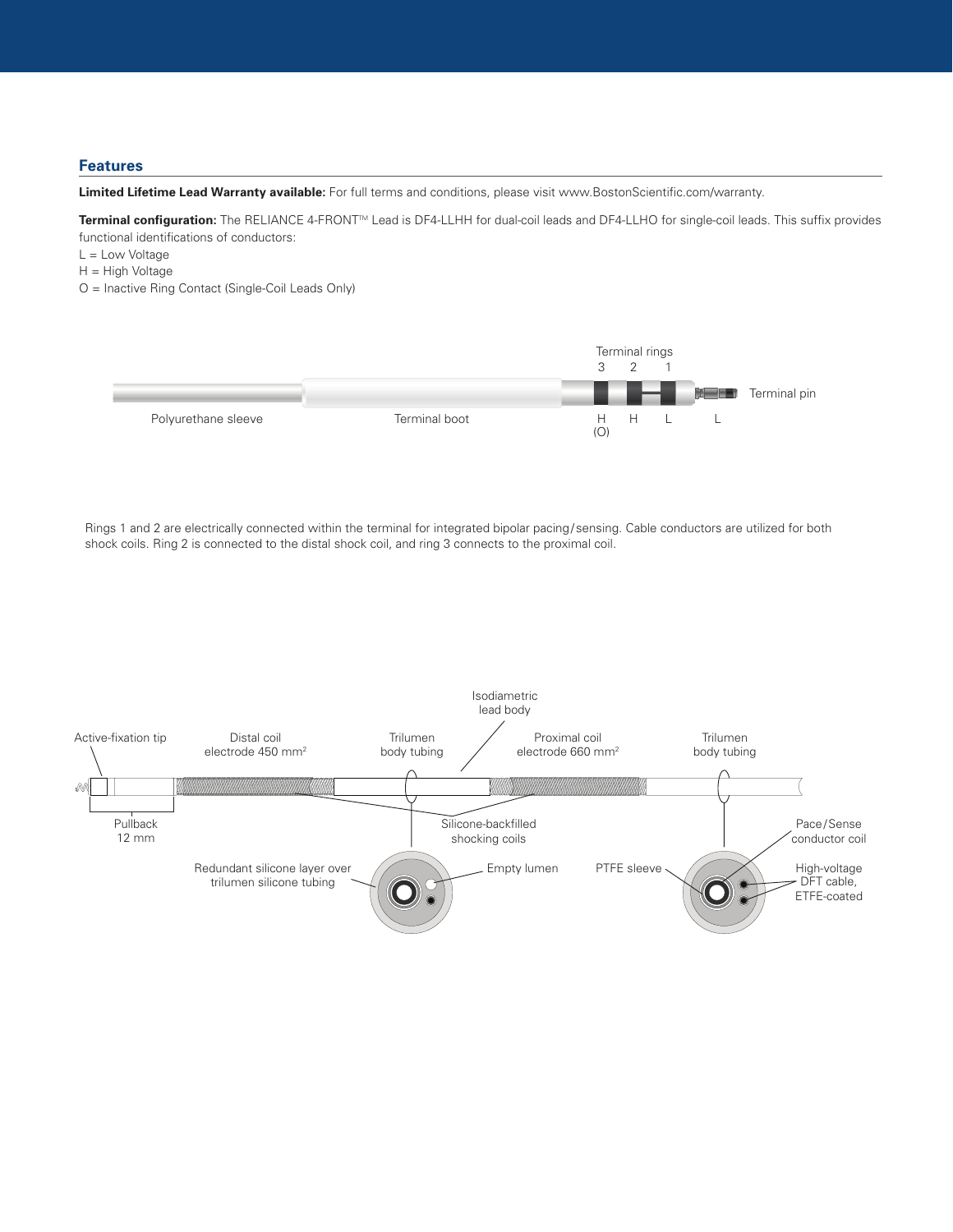# **Features**

**Limited Lifetime Lead Warranty available:** For full terms and conditions, please visit www.BostonScientific.com/warranty.

**Terminal configuration:** The RELIANCE 4-FRONTTM Lead is DF4-LLHH for dual-coil leads and DF4-LLHO for single-coil leads. This suffix provides functional identifications of conductors:

- L = Low Voltage
- H = High Voltage
- O = Inactive Ring Contact (Single-Coil Leads Only)



Rings 1 and 2 are electrically connected within the terminal for integrated bipolar pacing/sensing. Cable conductors are utilized for both shock coils. Ring 2 is connected to the distal shock coil, and ring 3 connects to the proximal coil.

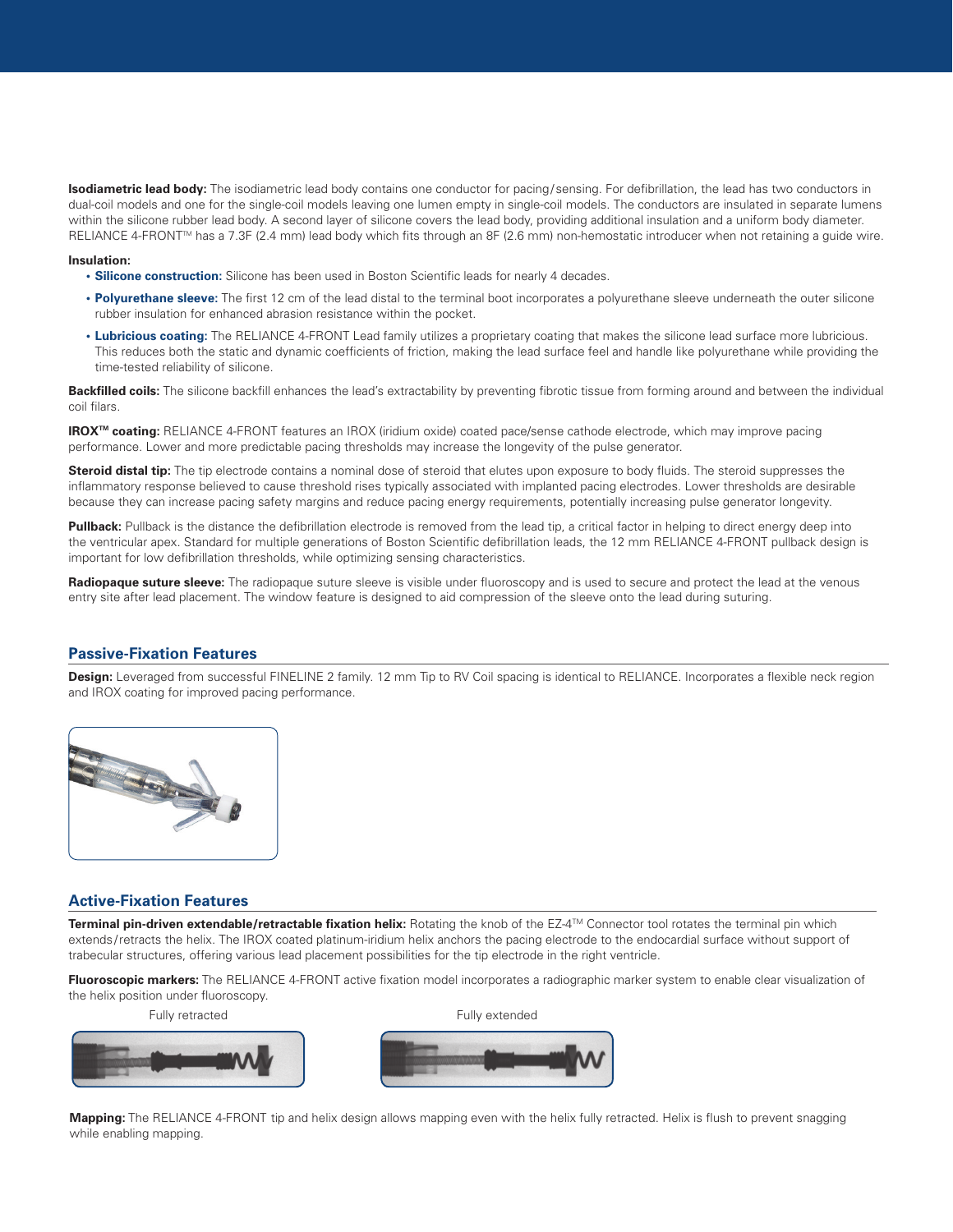**Isodiametric lead body:** The isodiametric lead body contains one conductor for pacing/sensing. For defibrillation, the lead has two conductors in dual-coil models and one for the single-coil models leaving one lumen empty in single-coil models. The conductors are insulated in separate lumens within the silicone rubber lead body. A second layer of silicone covers the lead body, providing additional insulation and a uniform body diameter. RELIANCE 4-FRONT™ has a 7.3F (2.4 mm) lead body which fits through an 8F (2.6 mm) non-hemostatic introducer when not retaining a guide wire.

#### **Insulation:**

**• Silicone construction:** Silicone has been used in Boston Scientific leads for nearly 4 decades.

- **Polyurethane sleeve:** The first 12 cm of the lead distal to the terminal boot incorporates a polyurethane sleeve underneath the outer silicone rubber insulation for enhanced abrasion resistance within the pocket.
- **Lubricious coating:** The RELIANCE 4-FRONT Lead family utilizes a proprietary coating that makes the silicone lead surface more lubricious. This reduces both the static and dynamic coefficients of friction, making the lead surface feel and handle like polyurethane while providing the time-tested reliability of silicone.

**Backfilled coils:** The silicone backfill enhances the lead's extractability by preventing fibrotic tissue from forming around and between the individual coil filars.

**IROXTM coating:** RELIANCE 4-FRONT features an IROX (iridium oxide) coated pace/sense cathode electrode, which may improve pacing performance. Lower and more predictable pacing thresholds may increase the longevity of the pulse generator.

**Steroid distal tip:** The tip electrode contains a nominal dose of steroid that elutes upon exposure to body fluids. The steroid suppresses the inflammatory response believed to cause threshold rises typically associated with implanted pacing electrodes. Lower thresholds are desirable because they can increase pacing safety margins and reduce pacing energy requirements, potentially increasing pulse generator longevity.

**Pullback:** Pullback is the distance the defibrillation electrode is removed from the lead tip, a critical factor in helping to direct energy deep into the ventricular apex. Standard for multiple generations of Boston Scientific defibrillation leads, the 12 mm RELIANCE 4-FRONT pullback design is important for low defibrillation thresholds, while optimizing sensing characteristics.

Radiopaque suture sleeve: The radiopaque suture sleeve is visible under fluoroscopy and is used to secure and protect the lead at the venous entry site after lead placement. The window feature is designed to aid compression of the sleeve onto the lead during suturing.

### **Passive-Fixation Features**

**Design:** Leveraged from successful FINELINE 2 family. 12 mm Tip to RV Coil spacing is identical to RELIANCE. Incorporates a flexible neck region and IROX coating for improved pacing performance.



# **Active-Fixation Features**

**Terminal pin-driven extendable/retractable fixation helix:** Rotating the knob of the EZ-4TM Connector tool rotates the terminal pin which extends/retracts the helix. The IROX coated platinum-iridium helix anchors the pacing electrode to the endocardial surface without support of trabecular structures, offering various lead placement possibilities for the tip electrode in the right ventricle.

**Fluoroscopic markers:** The RELIANCE 4-FRONT active fixation model incorporates a radiographic marker system to enable clear visualization of the helix position under fluoroscopy.





**Mapping:** The RELIANCE 4-FRONT tip and helix design allows mapping even with the helix fully retracted. Helix is flush to prevent snagging while enabling mapping.